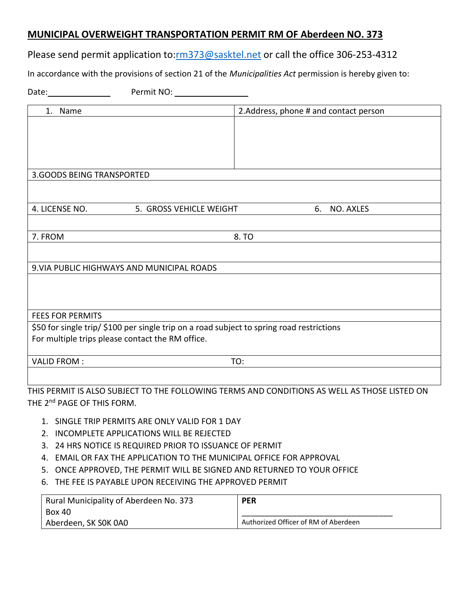## **MUNICIPAL OVERWEIGHT TRANSPORTATION PERMIT RM OF Aberdeen NO. 373**

Please send permit application to:*rm373@sasktel.net* or call the office 306-253-4312

In accordance with the provisions of section 21 of the *Municipalities Act* permission is hereby given to:

| Date:___________                                 |                                                                                           |                                       |  |
|--------------------------------------------------|-------------------------------------------------------------------------------------------|---------------------------------------|--|
| 1. Name                                          |                                                                                           | 2.Address, phone # and contact person |  |
|                                                  |                                                                                           |                                       |  |
|                                                  |                                                                                           |                                       |  |
|                                                  |                                                                                           |                                       |  |
|                                                  |                                                                                           |                                       |  |
| <b>3.GOODS BEING TRANSPORTED</b>                 |                                                                                           |                                       |  |
|                                                  |                                                                                           |                                       |  |
| 4. LICENSE NO.                                   | 5. GROSS VEHICLE WEIGHT                                                                   | <b>NO. AXLES</b><br>6.                |  |
|                                                  |                                                                                           |                                       |  |
| 7. FROM                                          |                                                                                           | 8. TO                                 |  |
|                                                  |                                                                                           |                                       |  |
| 9. VIA PUBLIC HIGHWAYS AND MUNICIPAL ROADS       |                                                                                           |                                       |  |
|                                                  |                                                                                           |                                       |  |
|                                                  |                                                                                           |                                       |  |
|                                                  |                                                                                           |                                       |  |
| <b>FEES FOR PERMITS</b>                          |                                                                                           |                                       |  |
|                                                  | \$50 for single trip/ \$100 per single trip on a road subject to spring road restrictions |                                       |  |
| For multiple trips please contact the RM office. |                                                                                           |                                       |  |
| <b>VALID FROM:</b>                               |                                                                                           | TO:                                   |  |
|                                                  |                                                                                           |                                       |  |

THIS PERMIT IS ALSO SUBJECT TO THE FOLLOWING TERMS AND CONDITIONS AS WELL AS THOSE LISTED ON THE 2<sup>nd</sup> PAGE OF THIS FORM.

- 1. SINGLE TRIP PERMITS ARE ONLY VALID FOR 1 DAY
- 2. INCOMPLETE APPLICATIONS WILL BE REJECTED
- 3. 24 HRS NOTICE IS REQUIRED PRIOR TO ISSUANCE OF PERMIT
- 4. EMAIL OR FAX THE APPLICATION TO THE MUNICIPAL OFFICE FOR APPROVAL
- 5. ONCE APPROVED, THE PERMIT WILL BE SIGNED AND RETURNED TO YOUR OFFICE
- 6. THE FEE IS PAYABLE UPON RECEIVING THE APPROVED PERMIT

| Rural Municipality of Aberdeen No. 373 | <b>PER</b>                           |
|----------------------------------------|--------------------------------------|
| <b>Box 40</b>                          |                                      |
| Aberdeen, SK SOK 0A0                   | Authorized Officer of RM of Aberdeen |